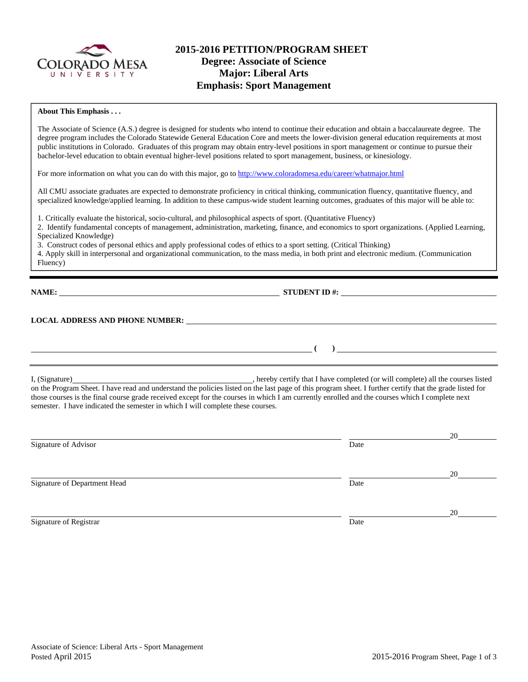

# **2015-2016 PETITION/PROGRAM SHEET Degree: Associate of Science Major: Liberal Arts Emphasis: Sport Management**

#### **About This Emphasis . . .**

The Associate of Science (A.S.) degree is designed for students who intend to continue their education and obtain a baccalaureate degree. The degree program includes the Colorado Statewide General Education Core and meets the lower-division general education requirements at most public institutions in Colorado. Graduates of this program may obtain entry-level positions in sport management or continue to pursue their bachelor-level education to obtain eventual higher-level positions related to sport management, business, or kinesiology.

For more information on what you can do with this major, go to http://www.coloradomesa.edu/career/whatmajor.html

All CMU associate graduates are expected to demonstrate proficiency in critical thinking, communication fluency, quantitative fluency, and specialized knowledge/applied learning. In addition to these campus-wide student learning outcomes, graduates of this major will be able to:

1. Critically evaluate the historical, socio-cultural, and philosophical aspects of sport. (Quantitative Fluency)

2. Identify fundamental concepts of management, administration, marketing, finance, and economics to sport organizations. (Applied Learning, Specialized Knowledge)

3. Construct codes of personal ethics and apply professional codes of ethics to a sport setting. (Critical Thinking)

4. Apply skill in interpersonal and organizational communication, to the mass media, in both print and electronic medium. (Communication Fluency)

**NAME: STUDENT ID #: STUDENT ID #: STUDENT ID #: STUDENT ID #: STUDENT ID #: STUDENT ID #: STUDENT ID #: STUDENT ID #: STUDENT ID #: STUDENT ID #: STUDENT ID #: STUDENT ID #: STUDENT ID #: STUDE** 

**LOCAL ADDRESS AND PHONE NUMBER:**

I, (Signature) , hereby certify that I have completed (or will complete) all the courses listed on the Program Sheet. I have read and understand the policies listed on the last page of this program sheet. I further certify that the grade listed for those courses is the final course grade received except for the courses in which I am currently enrolled and the courses which I complete next semester. I have indicated the semester in which I will complete these courses.

|                              |      | 20 |
|------------------------------|------|----|
| Signature of Advisor         | Date |    |
|                              |      | 20 |
| Signature of Department Head | Date |    |
|                              |      | 20 |
| Signature of Registrar       | Date |    |

 **( )**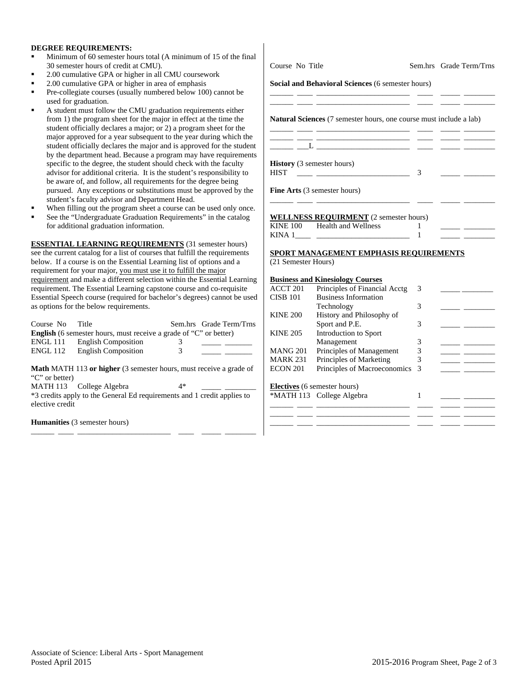#### **DEGREE REQUIREMENTS:**

- Minimum of 60 semester hours total (A minimum of 15 of the final 30 semester hours of credit at CMU).
- 2.00 cumulative GPA or higher in all CMU coursework
- 2.00 cumulative GPA or higher in area of emphasis
- Pre-collegiate courses (usually numbered below 100) cannot be used for graduation.
- A student must follow the CMU graduation requirements either from 1) the program sheet for the major in effect at the time the student officially declares a major; or 2) a program sheet for the major approved for a year subsequent to the year during which student officially declares the major and is approved for the stu by the department head. Because a program may have requirem specific to the degree, the student should check with the faculty advisor for additional criteria. It is the student's responsibility be aware of, and follow, all requirements for the degree being pursued. Any exceptions or substitutions must be approved by student's faculty advisor and Department Head.
- When filling out the program sheet a course can be used only on
- See the "Undergraduate Graduation Requirements" in the catalog for additional graduation information.

**ESSENTIAL LEARNING REQUIREMENTS** (31 semester hours) see the current catalog for a list of courses that fulfill the requirements below. If a course is on the Essential Learning list of options and a requirement for your major, you must use it to fulfill the major requirement and make a different selection within the Essential Lear requirement. The Essential Learning capstone course and co-requisite Essential Speech course (required for bachelor's degrees) cannot be as options for the below requirements.

| Course No                                                                | Title                      |   | Sem.hrs Grade Term/Trns |  |
|--------------------------------------------------------------------------|----------------------------|---|-------------------------|--|
| <b>English</b> (6 semester hours, must receive a grade of "C" or better) |                            |   |                         |  |
| <b>ENGL 111</b>                                                          | <b>English Composition</b> |   |                         |  |
| <b>ENGL 112</b>                                                          | <b>English Composition</b> | 3 |                         |  |

**Math** MATH 113 **or higher** (3 semester hours, must receive a grade of "C" or better) MATH 113 College Algebra 4\* \*3 credits apply to the General Ed requirements and 1 credit applies to elective credit

\_\_\_\_\_\_ \_\_\_\_ \_\_\_\_\_\_\_\_\_\_\_\_\_\_\_\_\_\_\_\_\_\_\_\_ \_\_\_\_ \_\_\_\_\_ \_\_\_\_\_\_\_\_

**Humanities** (3 semester hours)

| Course No Title     |                                                                                                                                                                                                    |               | Sem.hrs Grade Term/Trns                                         |
|---------------------|----------------------------------------------------------------------------------------------------------------------------------------------------------------------------------------------------|---------------|-----------------------------------------------------------------|
|                     | Social and Behavioral Sciences (6 semester hours)                                                                                                                                                  |               |                                                                 |
|                     | <b>Natural Sciences</b> (7 semester hours, one course must include a lab)<br><u> 1989 - John Harry Harry Harry Harry Harry Harry Harry Harry Harry Harry Harry Harry Harry Harry Harry Harry H</u> |               |                                                                 |
|                     |                                                                                                                                                                                                    |               |                                                                 |
| <b>HIST</b>         | <b>History</b> (3 semester hours)<br><u> 1988 - Andrea Barbara, martin a bhaile an t-</u>                                                                                                          | 3             |                                                                 |
|                     | <b>Fine Arts</b> (3 semester hours)                                                                                                                                                                |               |                                                                 |
|                     | <b>WELLNESS REQUIRMENT</b> (2 semester hours)                                                                                                                                                      |               |                                                                 |
|                     | KINE 100 Health and Wellness                                                                                                                                                                       | 1<br>1        | <u> 1989 - John Barn Barn, mars a</u>                           |
|                     | SPORT MANAGEMENT EMPHASIS REQUIREMENTS                                                                                                                                                             |               |                                                                 |
| (21 Semester Hours) |                                                                                                                                                                                                    |               |                                                                 |
| <b>CISB 101</b>     | <b>Business and Kinesiology Courses</b><br>ACCT 201 Principles of Financial Acctg<br><b>Business Information</b>                                                                                   | 3             |                                                                 |
|                     | Technology                                                                                                                                                                                         | 3             | <u> 1989 - Jan Barbara Barat III a Shekara Tanzania a Tsara</u> |
| <b>KINE 200</b>     | History and Philosophy of<br>Sport and P.E.                                                                                                                                                        | 3             |                                                                 |
| <b>KINE 205</b>     | Introduction to Sport<br>Management                                                                                                                                                                | 3             |                                                                 |
| <b>MANG 201</b>     | Principles of Management                                                                                                                                                                           | $\mathcal{R}$ |                                                                 |

MARK 231 Principles of Marketing 3 ECON 201 Principles of Macroeconomics 3

\*MATH 113 College Algebra 1

\_\_\_\_\_\_ \_\_\_\_ \_\_\_\_\_\_\_\_\_\_\_\_\_\_\_\_\_\_\_\_\_\_\_\_ \_\_\_\_ \_\_\_\_\_ \_\_\_\_\_\_\_\_ \_\_\_\_\_\_ \_\_\_\_ \_\_\_\_\_\_\_\_\_\_\_\_\_\_\_\_\_\_\_\_\_\_\_\_ \_\_\_\_ \_\_\_\_\_ \_\_\_\_\_\_\_\_ \_\_\_\_\_\_ \_\_\_\_ \_\_\_\_\_\_\_\_\_\_\_\_\_\_\_\_\_\_\_\_\_\_\_\_ \_\_\_\_ \_\_\_\_\_ \_\_\_\_\_\_\_\_

**Electives** (6 semester hours)